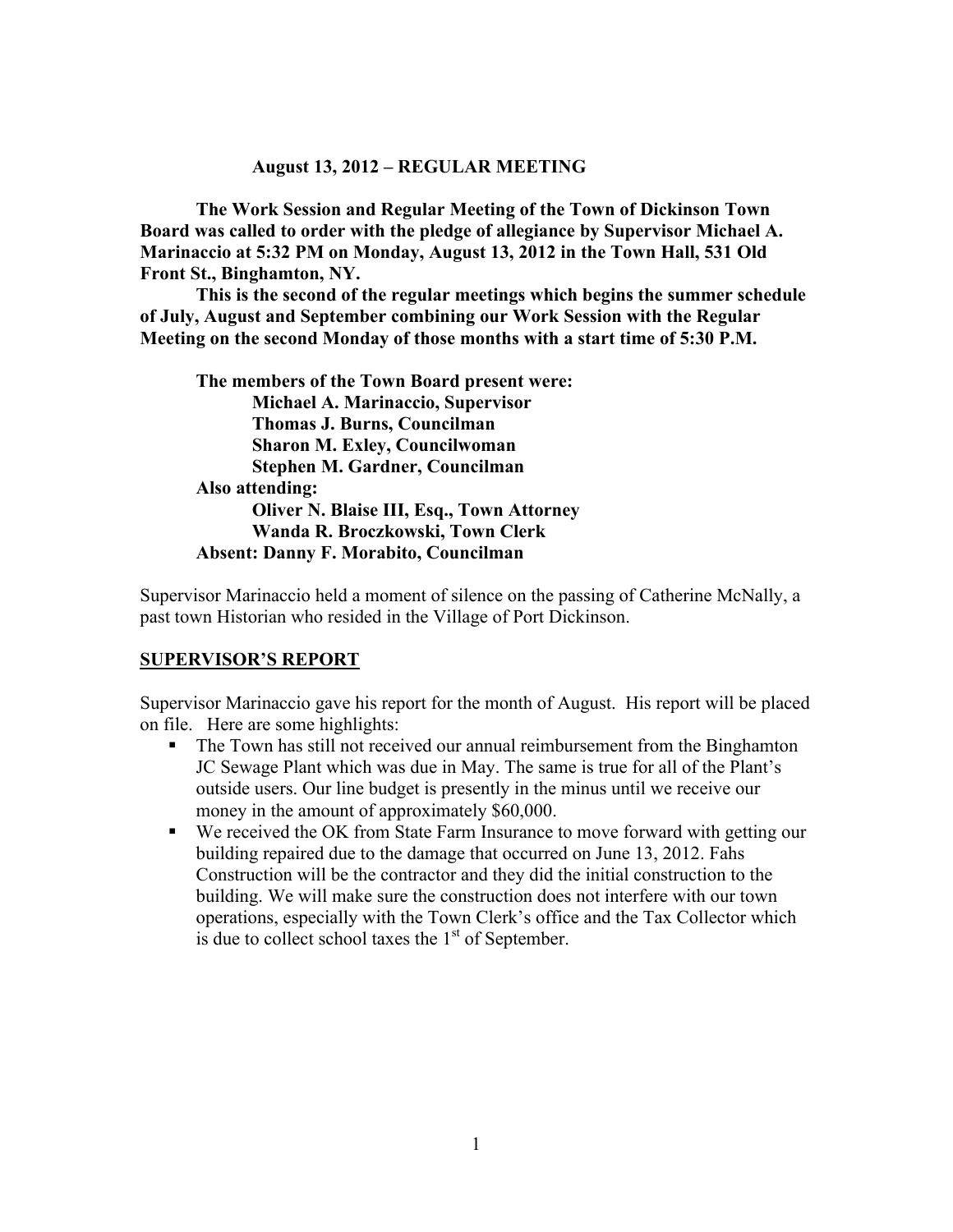#### **August 13, 2012 – REGULAR MEETING**

**The Work Session and Regular Meeting of the Town of Dickinson Town Board was called to order with the pledge of allegiance by Supervisor Michael A. Marinaccio at 5:32 PM on Monday, August 13, 2012 in the Town Hall, 531 Old Front St., Binghamton, NY.** 

**This is the second of the regular meetings which begins the summer schedule of July, August and September combining our Work Session with the Regular Meeting on the second Monday of those months with a start time of 5:30 P.M.**

**The members of the Town Board present were: Michael A. Marinaccio, Supervisor Thomas J. Burns, Councilman Sharon M. Exley, Councilwoman Stephen M. Gardner, Councilman Also attending: Oliver N. Blaise III, Esq., Town Attorney Wanda R. Broczkowski, Town Clerk Absent: Danny F. Morabito, Councilman**

Supervisor Marinaccio held a moment of silence on the passing of Catherine McNally, a past town Historian who resided in the Village of Port Dickinson.

#### **SUPERVISOR'S REPORT**

Supervisor Marinaccio gave his report for the month of August. His report will be placed on file. Here are some highlights:

- The Town has still not received our annual reimbursement from the Binghamton JC Sewage Plant which was due in May. The same is true for all of the Plant's outside users. Our line budget is presently in the minus until we receive our money in the amount of approximately \$60,000.
- We received the OK from State Farm Insurance to move forward with getting our building repaired due to the damage that occurred on June 13, 2012. Fahs Construction will be the contractor and they did the initial construction to the building. We will make sure the construction does not interfere with our town operations, especially with the Town Clerk's office and the Tax Collector which is due to collect school taxes the  $1<sup>st</sup>$  of September.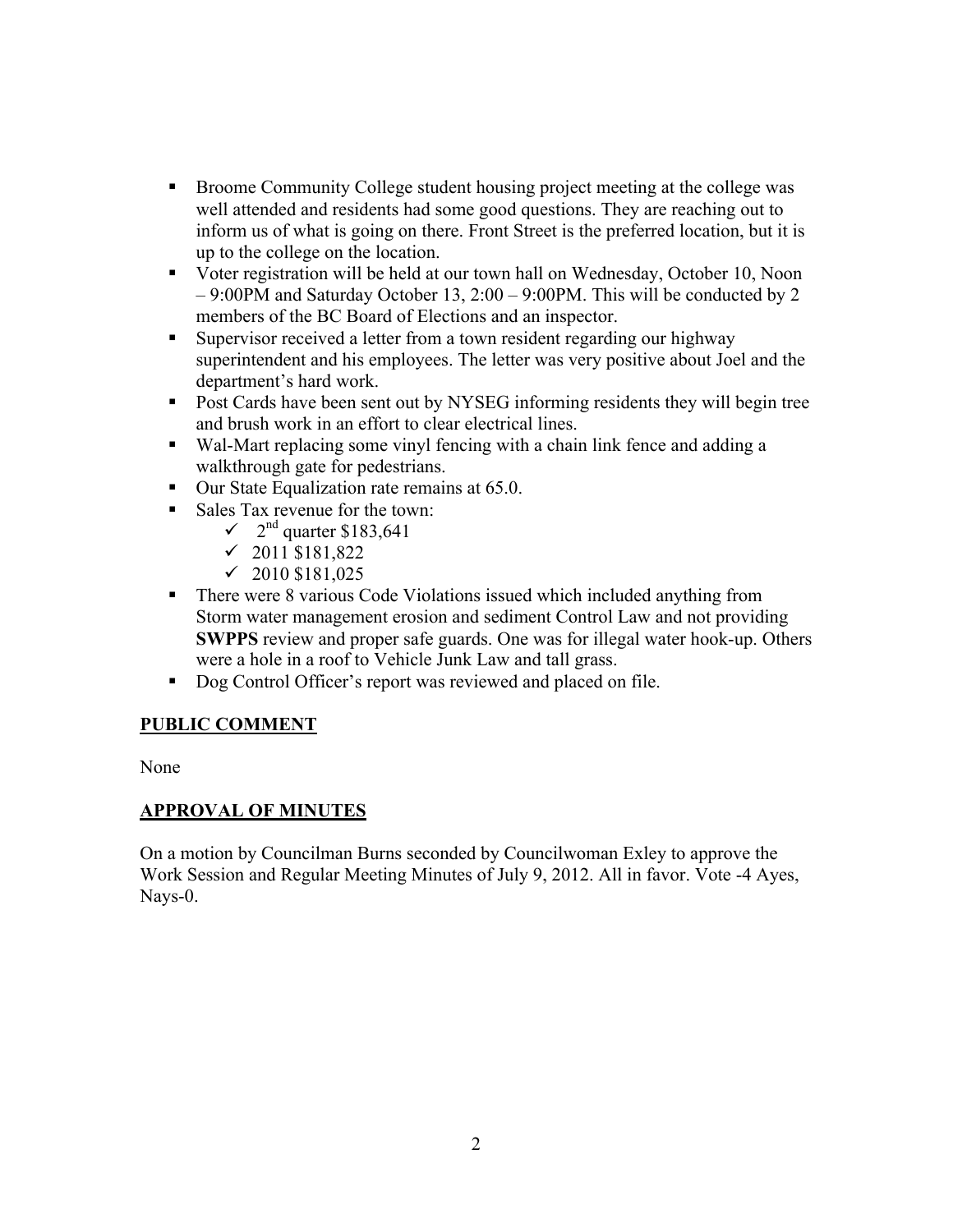- Broome Community College student housing project meeting at the college was well attended and residents had some good questions. They are reaching out to inform us of what is going on there. Front Street is the preferred location, but it is up to the college on the location.
- Voter registration will be held at our town hall on Wednesday, October 10, Noon – 9:00PM and Saturday October 13, 2:00 – 9:00PM. This will be conducted by 2 members of the BC Board of Elections and an inspector.
- Supervisor received a letter from a town resident regarding our highway superintendent and his employees. The letter was very positive about Joel and the department's hard work.
- Post Cards have been sent out by NYSEG informing residents they will begin tree and brush work in an effort to clear electrical lines.
- Wal-Mart replacing some vinyl fencing with a chain link fence and adding a walkthrough gate for pedestrians.
- Our State Equalization rate remains at 65.0.
- Sales Tax revenue for the town:
	- $\sim$  2<sup>nd</sup> quarter \$183,641
	- $\checkmark$  2011 \$181,822
	- $\checkmark$  2010 \$181,025
- There were 8 various Code Violations issued which included anything from Storm water management erosion and sediment Control Law and not providing **SWPPS** review and proper safe guards. One was for illegal water hook-up. Others were a hole in a roof to Vehicle Junk Law and tall grass.
- Dog Control Officer's report was reviewed and placed on file.

# **PUBLIC COMMENT**

None

# **APPROVAL OF MINUTES**

On a motion by Councilman Burns seconded by Councilwoman Exley to approve the Work Session and Regular Meeting Minutes of July 9, 2012. All in favor. Vote -4 Ayes, Nays-0.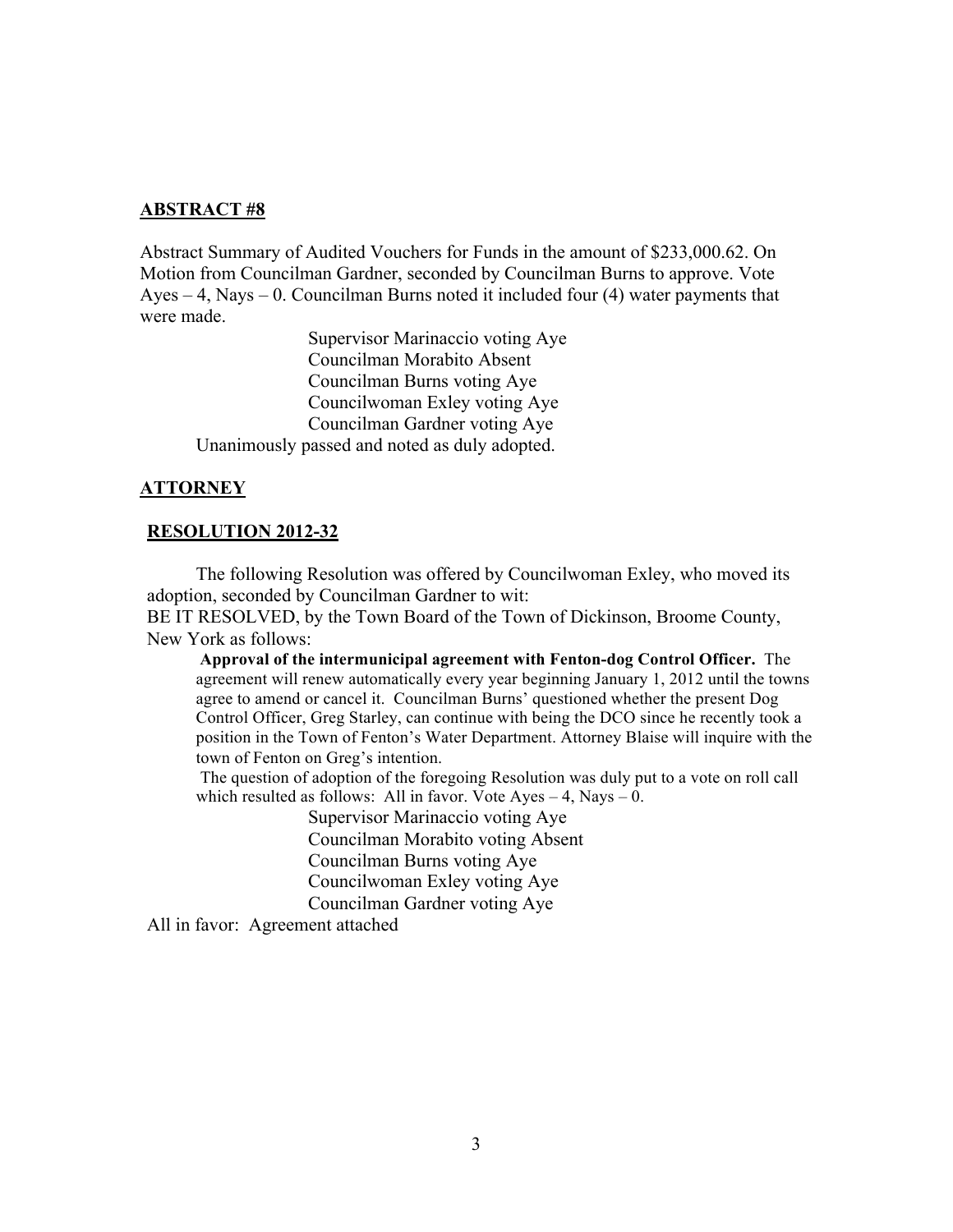#### **ABSTRACT #8**

Abstract Summary of Audited Vouchers for Funds in the amount of \$233,000.62. On Motion from Councilman Gardner, seconded by Councilman Burns to approve. Vote Ayes – 4, Nays – 0. Councilman Burns noted it included four (4) water payments that were made.

Supervisor Marinaccio voting Aye Councilman Morabito Absent Councilman Burns voting Aye Councilwoman Exley voting Aye Councilman Gardner voting Aye Unanimously passed and noted as duly adopted.

#### **ATTORNEY**

#### **RESOLUTION 2012-32**

The following Resolution was offered by Councilwoman Exley, who moved its adoption, seconded by Councilman Gardner to wit:

BE IT RESOLVED, by the Town Board of the Town of Dickinson, Broome County, New York as follows:

**Approval of the intermunicipal agreement with Fenton-dog Control Officer.** The agreement will renew automatically every year beginning January 1, 2012 until the towns agree to amend or cancel it. Councilman Burns' questioned whether the present Dog Control Officer, Greg Starley, can continue with being the DCO since he recently took a position in the Town of Fenton's Water Department. Attorney Blaise will inquire with the town of Fenton on Greg's intention.

 The question of adoption of the foregoing Resolution was duly put to a vote on roll call which resulted as follows: All in favor. Vote Ayes  $-4$ , Nays  $-0$ .

> Supervisor Marinaccio voting Aye Councilman Morabito voting Absent Councilman Burns voting Aye Councilwoman Exley voting Aye Councilman Gardner voting Aye

All in favor: Agreement attached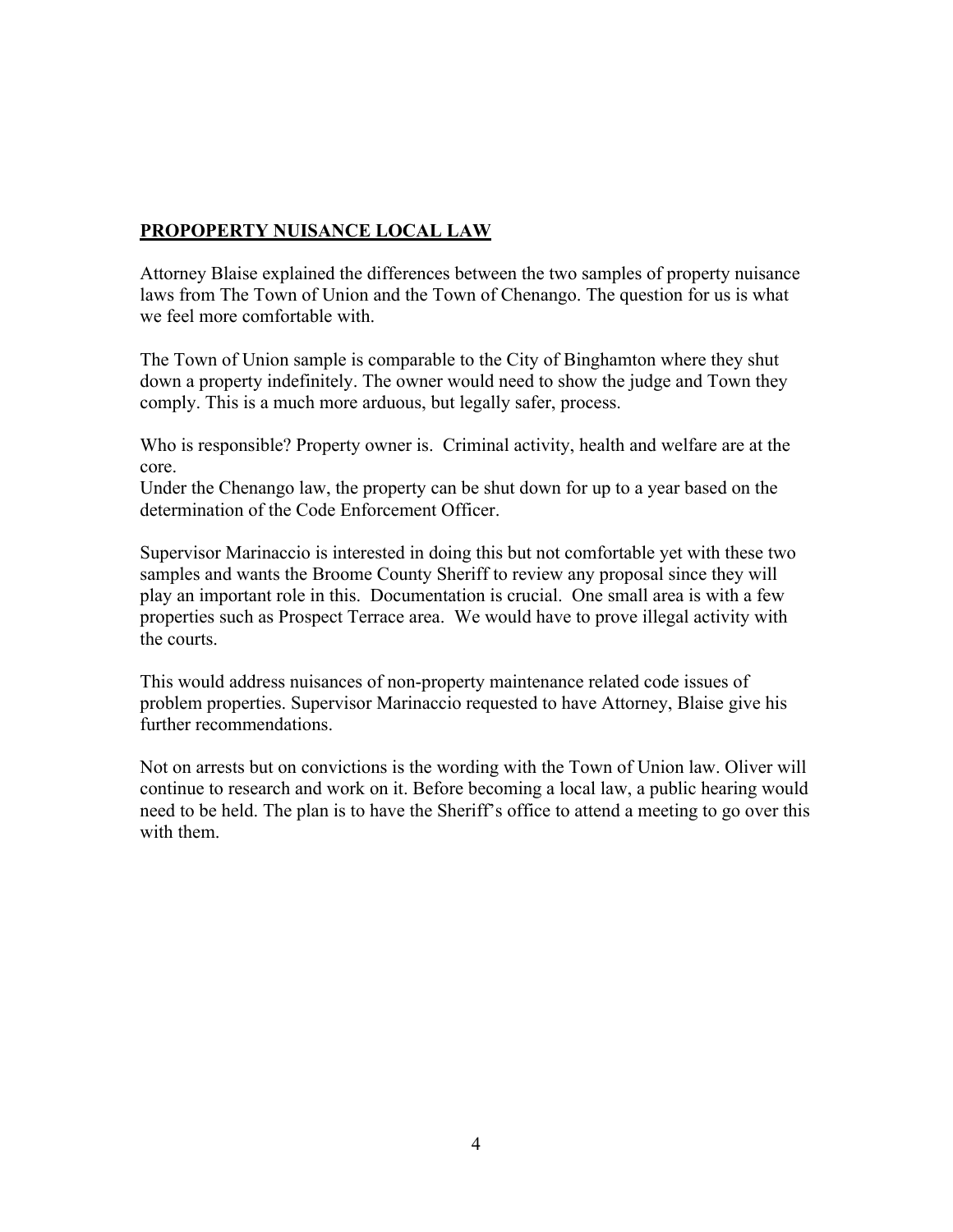## **PROPOPERTY NUISANCE LOCAL LAW**

Attorney Blaise explained the differences between the two samples of property nuisance laws from The Town of Union and the Town of Chenango. The question for us is what we feel more comfortable with.

The Town of Union sample is comparable to the City of Binghamton where they shut down a property indefinitely. The owner would need to show the judge and Town they comply. This is a much more arduous, but legally safer, process.

Who is responsible? Property owner is. Criminal activity, health and welfare are at the core.

Under the Chenango law, the property can be shut down for up to a year based on the determination of the Code Enforcement Officer.

Supervisor Marinaccio is interested in doing this but not comfortable yet with these two samples and wants the Broome County Sheriff to review any proposal since they will play an important role in this. Documentation is crucial. One small area is with a few properties such as Prospect Terrace area. We would have to prove illegal activity with the courts.

This would address nuisances of non-property maintenance related code issues of problem properties. Supervisor Marinaccio requested to have Attorney, Blaise give his further recommendations.

Not on arrests but on convictions is the wording with the Town of Union law. Oliver will continue to research and work on it. Before becoming a local law, a public hearing would need to be held. The plan is to have the Sheriff's office to attend a meeting to go over this with them.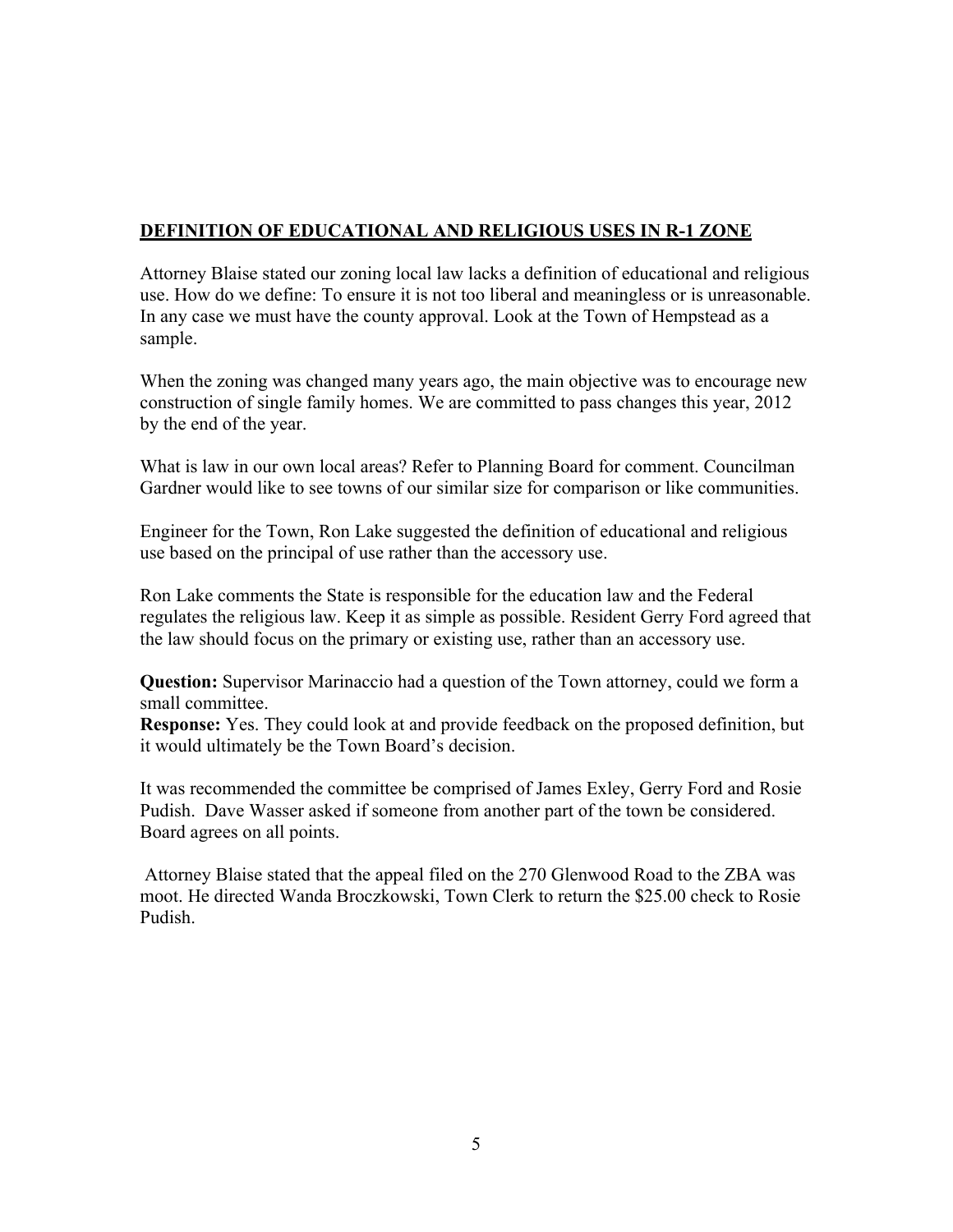# **DEFINITION OF EDUCATIONAL AND RELIGIOUS USES IN R-1 ZONE**

Attorney Blaise stated our zoning local law lacks a definition of educational and religious use. How do we define: To ensure it is not too liberal and meaningless or is unreasonable. In any case we must have the county approval. Look at the Town of Hempstead as a sample.

When the zoning was changed many years ago, the main objective was to encourage new construction of single family homes. We are committed to pass changes this year, 2012 by the end of the year.

What is law in our own local areas? Refer to Planning Board for comment. Councilman Gardner would like to see towns of our similar size for comparison or like communities.

Engineer for the Town, Ron Lake suggested the definition of educational and religious use based on the principal of use rather than the accessory use.

Ron Lake comments the State is responsible for the education law and the Federal regulates the religious law. Keep it as simple as possible. Resident Gerry Ford agreed that the law should focus on the primary or existing use, rather than an accessory use.

**Question:** Supervisor Marinaccio had a question of the Town attorney, could we form a small committee.

**Response:** Yes. They could look at and provide feedback on the proposed definition, but it would ultimately be the Town Board's decision.

It was recommended the committee be comprised of James Exley, Gerry Ford and Rosie Pudish. Dave Wasser asked if someone from another part of the town be considered. Board agrees on all points.

Attorney Blaise stated that the appeal filed on the 270 Glenwood Road to the ZBA was moot. He directed Wanda Broczkowski, Town Clerk to return the \$25.00 check to Rosie Pudish.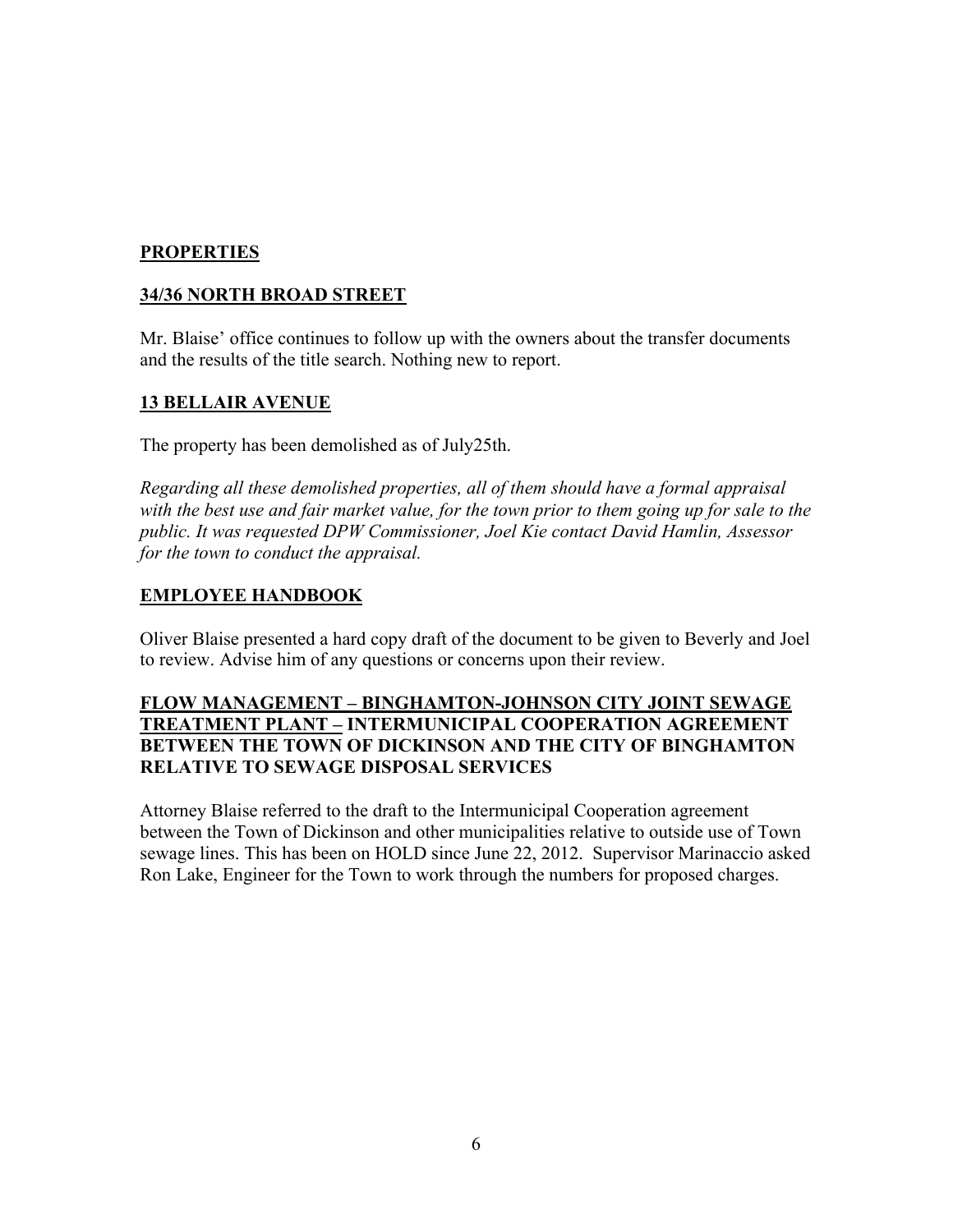### **PROPERTIES**

## **34/36 NORTH BROAD STREET**

Mr. Blaise' office continues to follow up with the owners about the transfer documents and the results of the title search. Nothing new to report.

### **13 BELLAIR AVENUE**

The property has been demolished as of July25th.

*Regarding all these demolished properties, all of them should have a formal appraisal with the best use and fair market value, for the town prior to them going up for sale to the public. It was requested DPW Commissioner, Joel Kie contact David Hamlin, Assessor for the town to conduct the appraisal.*

### **EMPLOYEE HANDBOOK**

Oliver Blaise presented a hard copy draft of the document to be given to Beverly and Joel to review. Advise him of any questions or concerns upon their review.

#### **FLOW MANAGEMENT – BINGHAMTON-JOHNSON CITY JOINT SEWAGE TREATMENT PLANT – INTERMUNICIPAL COOPERATION AGREEMENT BETWEEN THE TOWN OF DICKINSON AND THE CITY OF BINGHAMTON RELATIVE TO SEWAGE DISPOSAL SERVICES**

Attorney Blaise referred to the draft to the Intermunicipal Cooperation agreement between the Town of Dickinson and other municipalities relative to outside use of Town sewage lines. This has been on HOLD since June 22, 2012. Supervisor Marinaccio asked Ron Lake, Engineer for the Town to work through the numbers for proposed charges.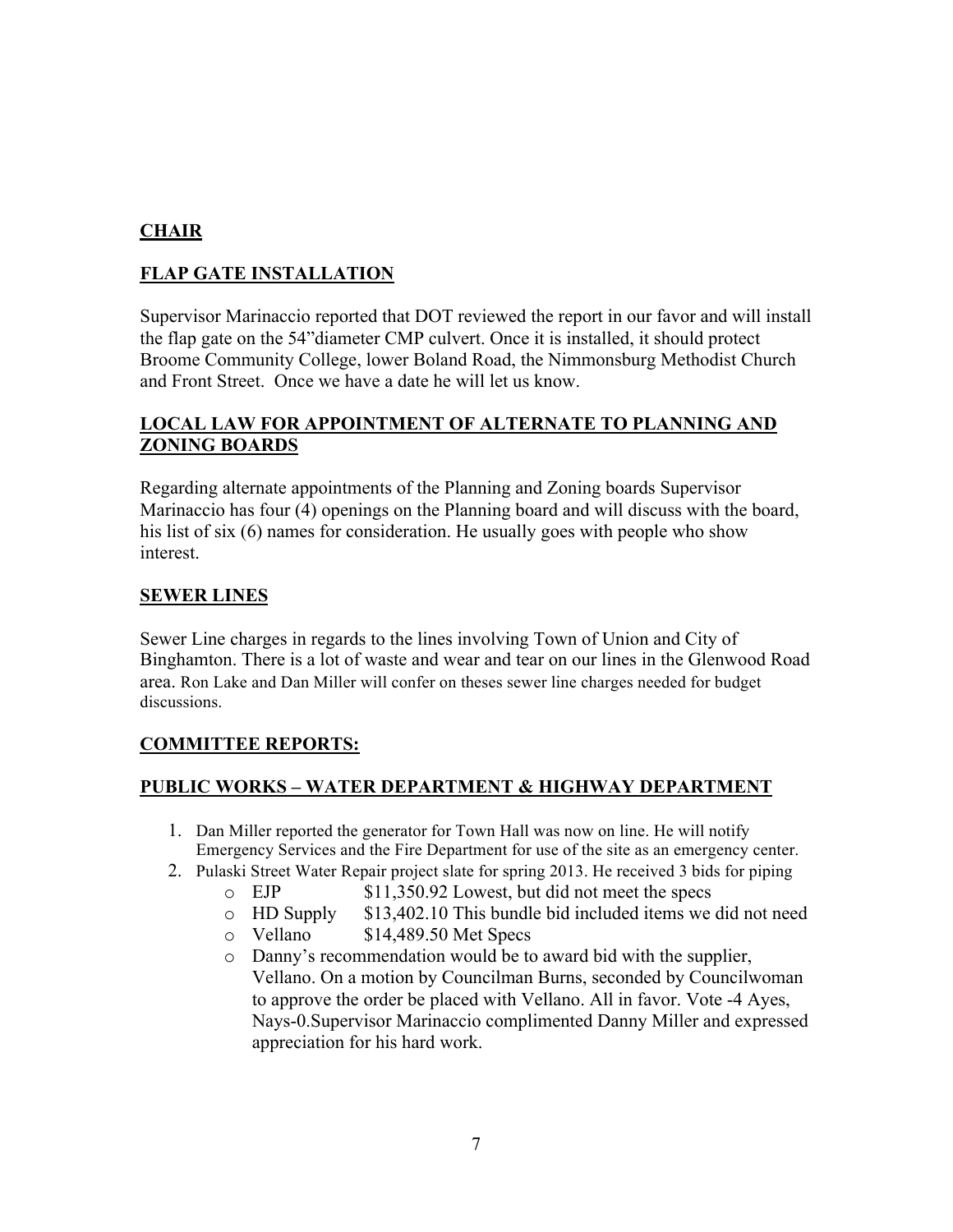# **CHAIR**

# **FLAP GATE INSTALLATION**

Supervisor Marinaccio reported that DOT reviewed the report in our favor and will install the flap gate on the 54"diameter CMP culvert. Once it is installed, it should protect Broome Community College, lower Boland Road, the Nimmonsburg Methodist Church and Front Street. Once we have a date he will let us know.

### **LOCAL LAW FOR APPOINTMENT OF ALTERNATE TO PLANNING AND ZONING BOARDS**

Regarding alternate appointments of the Planning and Zoning boards Supervisor Marinaccio has four (4) openings on the Planning board and will discuss with the board, his list of six (6) names for consideration. He usually goes with people who show interest.

### **SEWER LINES**

Sewer Line charges in regards to the lines involving Town of Union and City of Binghamton. There is a lot of waste and wear and tear on our lines in the Glenwood Road area. Ron Lake and Dan Miller will confer on theses sewer line charges needed for budget discussions.

# **COMMITTEE REPORTS:**

# **PUBLIC WORKS – WATER DEPARTMENT & HIGHWAY DEPARTMENT**

- 1. Dan Miller reported the generator for Town Hall was now on line. He will notify Emergency Services and the Fire Department for use of the site as an emergency center.
- 2. Pulaski Street Water Repair project slate for spring 2013. He received 3 bids for piping
	- o EJP \$11,350.92 Lowest, but did not meet the specs
	- o HD Supply \$13,402.10 This bundle bid included items we did not need
	- o Vellano \$14,489.50 Met Specs
	- o Danny's recommendation would be to award bid with the supplier, Vellano. On a motion by Councilman Burns, seconded by Councilwoman to approve the order be placed with Vellano. All in favor. Vote -4 Ayes, Nays-0.Supervisor Marinaccio complimented Danny Miller and expressed appreciation for his hard work.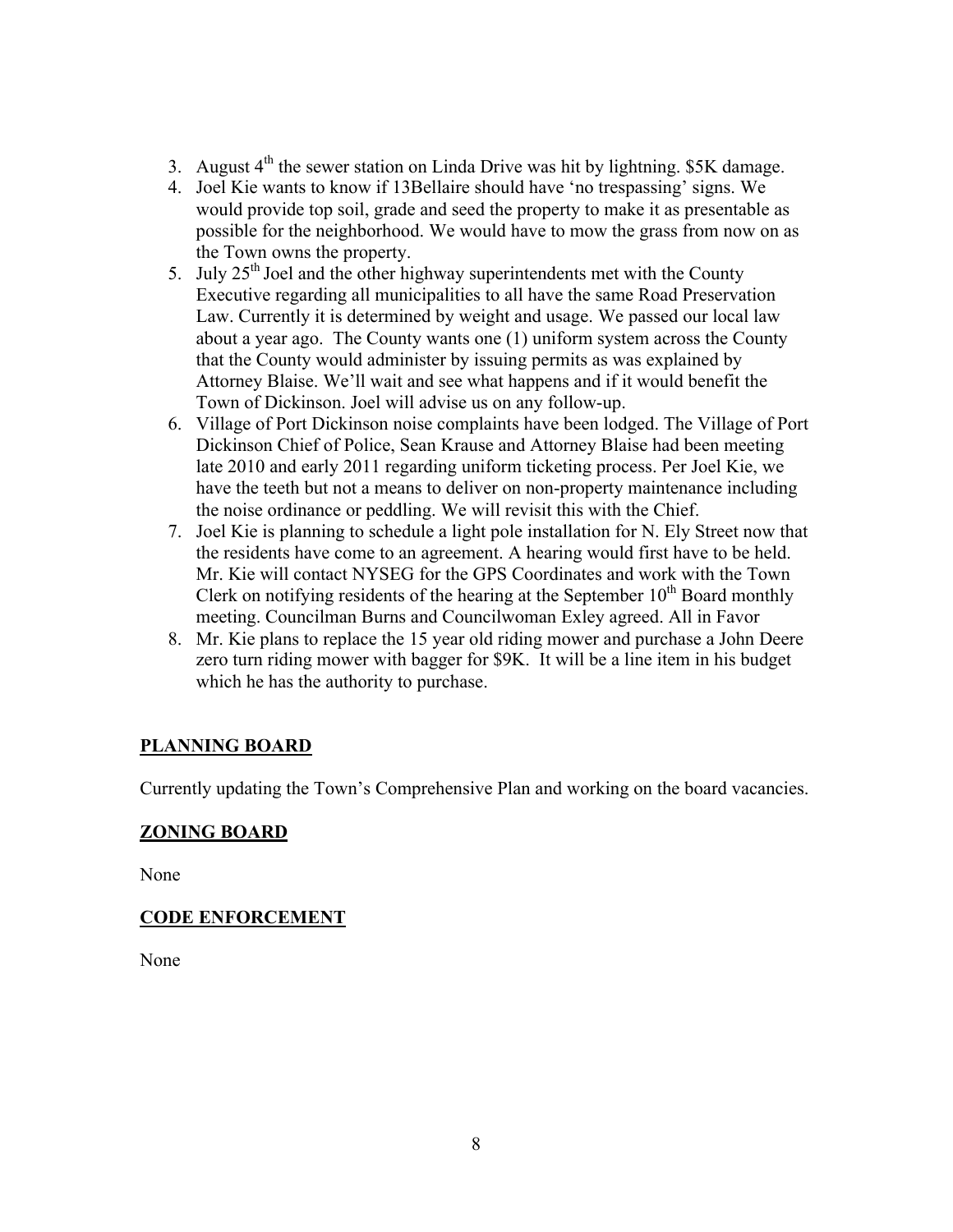- 3. August  $4<sup>th</sup>$  the sewer station on Linda Drive was hit by lightning. \$5K damage.
- 4. Joel Kie wants to know if 13Bellaire should have 'no trespassing' signs. We would provide top soil, grade and seed the property to make it as presentable as possible for the neighborhood. We would have to mow the grass from now on as the Town owns the property.
- 5. July  $25<sup>th</sup>$  Joel and the other highway superintendents met with the County Executive regarding all municipalities to all have the same Road Preservation Law. Currently it is determined by weight and usage. We passed our local law about a year ago. The County wants one (1) uniform system across the County that the County would administer by issuing permits as was explained by Attorney Blaise. We'll wait and see what happens and if it would benefit the Town of Dickinson. Joel will advise us on any follow-up.
- 6. Village of Port Dickinson noise complaints have been lodged. The Village of Port Dickinson Chief of Police, Sean Krause and Attorney Blaise had been meeting late 2010 and early 2011 regarding uniform ticketing process. Per Joel Kie, we have the teeth but not a means to deliver on non-property maintenance including the noise ordinance or peddling. We will revisit this with the Chief.
- 7. Joel Kie is planning to schedule a light pole installation for N. Ely Street now that the residents have come to an agreement. A hearing would first have to be held. Mr. Kie will contact NYSEG for the GPS Coordinates and work with the Town Clerk on notifying residents of the hearing at the September  $10<sup>th</sup>$  Board monthly meeting. Councilman Burns and Councilwoman Exley agreed. All in Favor
- 8. Mr. Kie plans to replace the 15 year old riding mower and purchase a John Deere zero turn riding mower with bagger for \$9K. It will be a line item in his budget which he has the authority to purchase.

### **PLANNING BOARD**

Currently updating the Town's Comprehensive Plan and working on the board vacancies.

### **ZONING BOARD**

None

### **CODE ENFORCEMENT**

None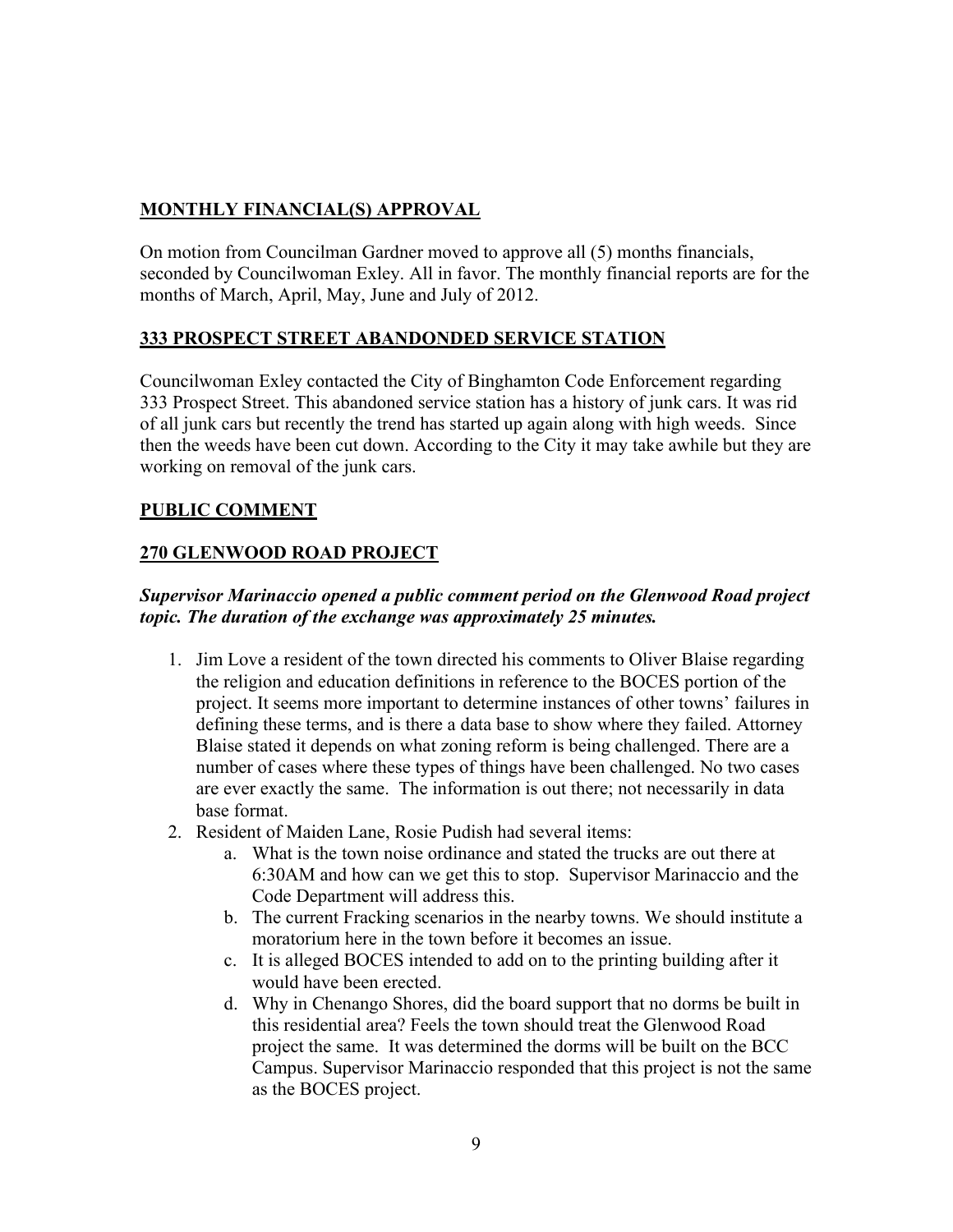# **MONTHLY FINANCIAL(S) APPROVAL**

On motion from Councilman Gardner moved to approve all (5) months financials, seconded by Councilwoman Exley. All in favor. The monthly financial reports are for the months of March, April, May, June and July of 2012.

## **333 PROSPECT STREET ABANDONDED SERVICE STATION**

Councilwoman Exley contacted the City of Binghamton Code Enforcement regarding 333 Prospect Street. This abandoned service station has a history of junk cars. It was rid of all junk cars but recently the trend has started up again along with high weeds. Since then the weeds have been cut down. According to the City it may take awhile but they are working on removal of the junk cars.

## **PUBLIC COMMENT**

# **270 GLENWOOD ROAD PROJECT**

## *Supervisor Marinaccio opened a public comment period on the Glenwood Road project topic. The duration of the exchange was approximately 25 minutes.*

- 1. Jim Love a resident of the town directed his comments to Oliver Blaise regarding the religion and education definitions in reference to the BOCES portion of the project. It seems more important to determine instances of other towns' failures in defining these terms, and is there a data base to show where they failed. Attorney Blaise stated it depends on what zoning reform is being challenged. There are a number of cases where these types of things have been challenged. No two cases are ever exactly the same. The information is out there; not necessarily in data base format.
- 2. Resident of Maiden Lane, Rosie Pudish had several items:
	- a. What is the town noise ordinance and stated the trucks are out there at 6:30AM and how can we get this to stop. Supervisor Marinaccio and the Code Department will address this.
	- b. The current Fracking scenarios in the nearby towns. We should institute a moratorium here in the town before it becomes an issue.
	- c. It is alleged BOCES intended to add on to the printing building after it would have been erected.
	- d. Why in Chenango Shores, did the board support that no dorms be built in this residential area? Feels the town should treat the Glenwood Road project the same. It was determined the dorms will be built on the BCC Campus. Supervisor Marinaccio responded that this project is not the same as the BOCES project.